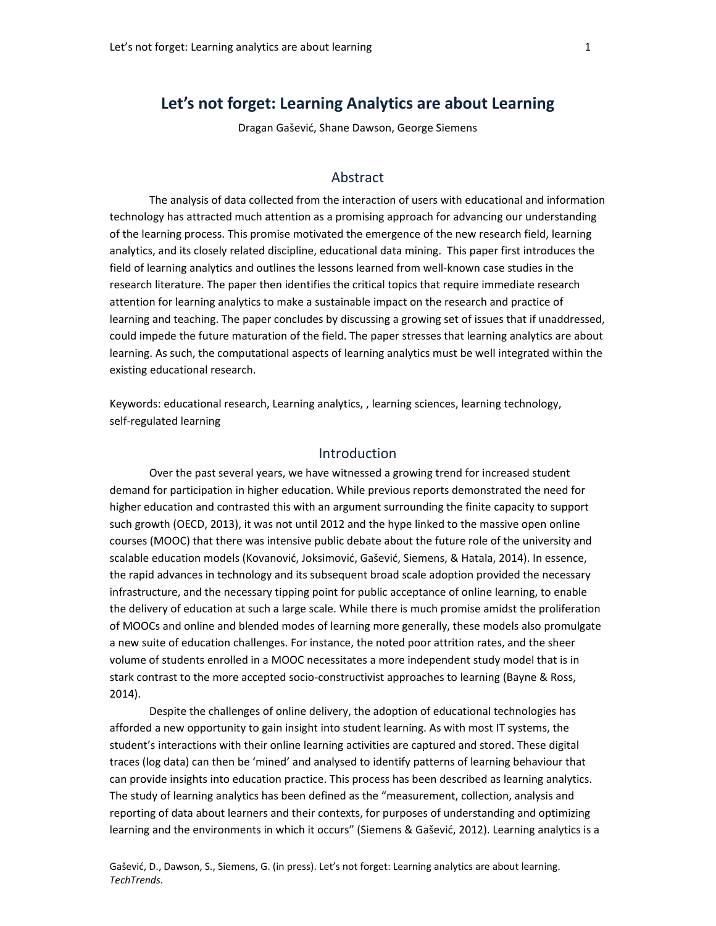# **Let's not forget: Learning Analytics are about Learning**

Dragan Gašević, Shane Dawson, George Siemens

### Abstract

The analysis of data collected from the interaction of users with educational and information technology has attracted much attention as a promising approach for advancing our understanding of the learning process. This promise motivated the emergence of the new research field, learning analytics, and its closely related discipline, educational data mining. This paper first introduces the field of learning analytics and outlines the lessons learned from well-known case studies in the research literature. The paper then identifies the critical topics that require immediate research attention for learning analytics to make a sustainable impact on the research and practice of learning and teaching. The paper concludes by discussing a growing set of issues that if unaddressed, could impede the future maturation of the field. The paper stresses that learning analytics are about learning. As such, the computational aspects of learning analytics must be well integrated within the existing educational research.

Keywords: educational research, Learning analytics, , learning sciences, learning technology, self‐regulated learning

# Introduction

Over the past several years, we have witnessed a growing trend for increased student demand for participation in higher education. While previous reports demonstrated the need for higher education and contrasted this with an argument surrounding the finite capacity to support such growth (OECD, 2013), it was not until 2012 and the hype linked to the massive open online courses (MOOC) that there was intensive public debate about the future role of the university and scalable education models (Kovanović, Joksimović, Gašević, Siemens, & Hatala, 2014). In essence, the rapid advances in technology and its subsequent broad scale adoption provided the necessary infrastructure, and the necessary tipping point for public acceptance of online learning, to enable the delivery of education at such a large scale. While there is much promise amidst the proliferation of MOOCs and online and blended modes of learning more generally, these models also promulgate a new suite of education challenges. For instance, the noted poor attrition rates, and the sheer volume of students enrolled in a MOOC necessitates a more independent study model that is in stark contrast to the more accepted socio-constructivist approaches to learning (Bayne & Ross, 2014).

Despite the challenges of online delivery, the adoption of educational technologies has afforded a new opportunity to gain insight into student learning. As with most IT systems, the student's interactions with their online learning activities are captured and stored. These digital traces (log data) can then be 'mined' and analysed to identify patterns of learning behaviour that can provide insights into education practice. This process has been described as learning analytics. The study of learning analytics has been defined as the "measurement, collection, analysis and reporting of data about learners and their contexts, for purposes of understanding and optimizing learning and the environments in which it occurs" (Siemens & Gašević, 2012). Learning analytics is a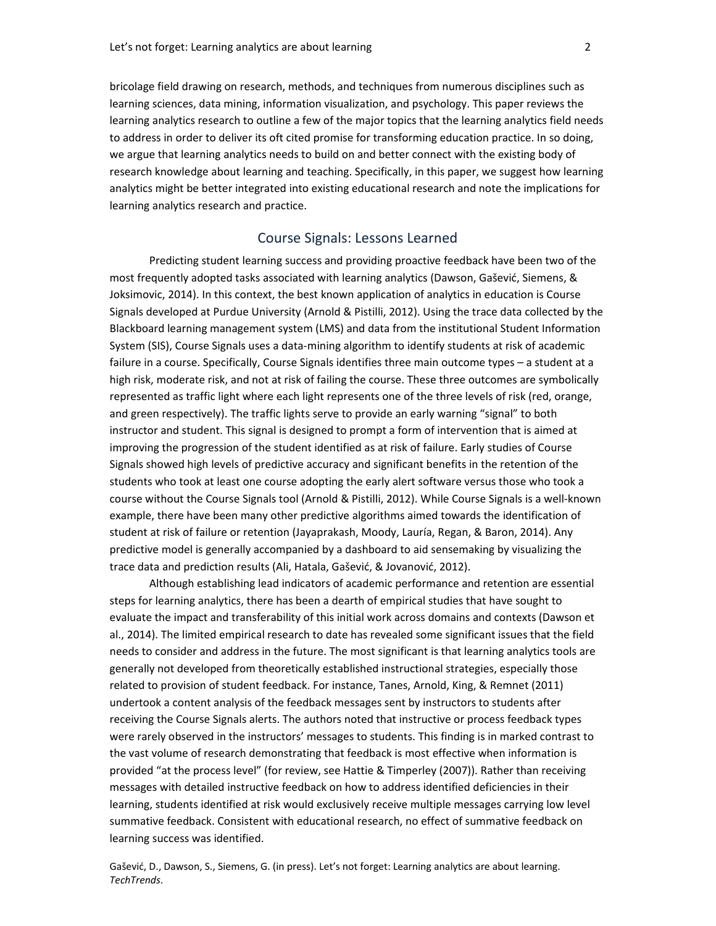bricolage field drawing on research, methods, and techniques from numerous disciplines such as learning sciences, data mining, information visualization, and psychology. This paper reviews the learning analytics research to outline a few of the major topics that the learning analytics field needs to address in order to deliver its oft cited promise for transforming education practice. In so doing, we argue that learning analytics needs to build on and better connect with the existing body of research knowledge about learning and teaching. Specifically, in this paper, we suggest how learning analytics might be better integrated into existing educational research and note the implications for learning analytics research and practice.

# Course Signals: Lessons Learned

Predicting student learning success and providing proactive feedback have been two of the most frequently adopted tasks associated with learning analytics (Dawson, Gašević, Siemens, & Joksimovic, 2014). In this context, the best known application of analytics in education is Course Signals developed at Purdue University (Arnold & Pistilli, 2012). Using the trace data collected by the Blackboard learning management system (LMS) and data from the institutional Student Information System (SIS), Course Signals uses a data-mining algorithm to identify students at risk of academic failure in a course. Specifically, Course Signals identifies three main outcome types – a student at a high risk, moderate risk, and not at risk of failing the course. These three outcomes are symbolically represented as traffic light where each light represents one of the three levels of risk (red, orange, and green respectively). The traffic lights serve to provide an early warning "signal" to both instructor and student. This signal is designed to prompt a form of intervention that is aimed at improving the progression of the student identified as at risk of failure. Early studies of Course Signals showed high levels of predictive accuracy and significant benefits in the retention of the students who took at least one course adopting the early alert software versus those who took a course without the Course Signals tool (Arnold & Pistilli, 2012). While Course Signals is a well‐known example, there have been many other predictive algorithms aimed towards the identification of student at risk of failure or retention (Jayaprakash, Moody, Lauría, Regan, & Baron, 2014). Any predictive model is generally accompanied by a dashboard to aid sensemaking by visualizing the trace data and prediction results (Ali, Hatala, Gašević, & Jovanović, 2012).

Although establishing lead indicators of academic performance and retention are essential steps for learning analytics, there has been a dearth of empirical studies that have sought to evaluate the impact and transferability of this initial work across domains and contexts (Dawson et al., 2014). The limited empirical research to date has revealed some significant issues that the field needs to consider and address in the future. The most significant is that learning analytics tools are generally not developed from theoretically established instructional strategies, especially those related to provision of student feedback. For instance, Tanes, Arnold, King, & Remnet (2011) undertook a content analysis of the feedback messages sent by instructors to students after receiving the Course Signals alerts. The authors noted that instructive or process feedback types were rarely observed in the instructors' messages to students. This finding is in marked contrast to the vast volume of research demonstrating that feedback is most effective when information is provided "at the process level" (for review, see Hattie & Timperley (2007)). Rather than receiving messages with detailed instructive feedback on how to address identified deficiencies in their learning, students identified at risk would exclusively receive multiple messages carrying low level summative feedback. Consistent with educational research, no effect of summative feedback on learning success was identified.

Gašević, D., Dawson, S., Siemens, G. (in press). Let's not forget: Learning analytics are about learning. *TechTrends*.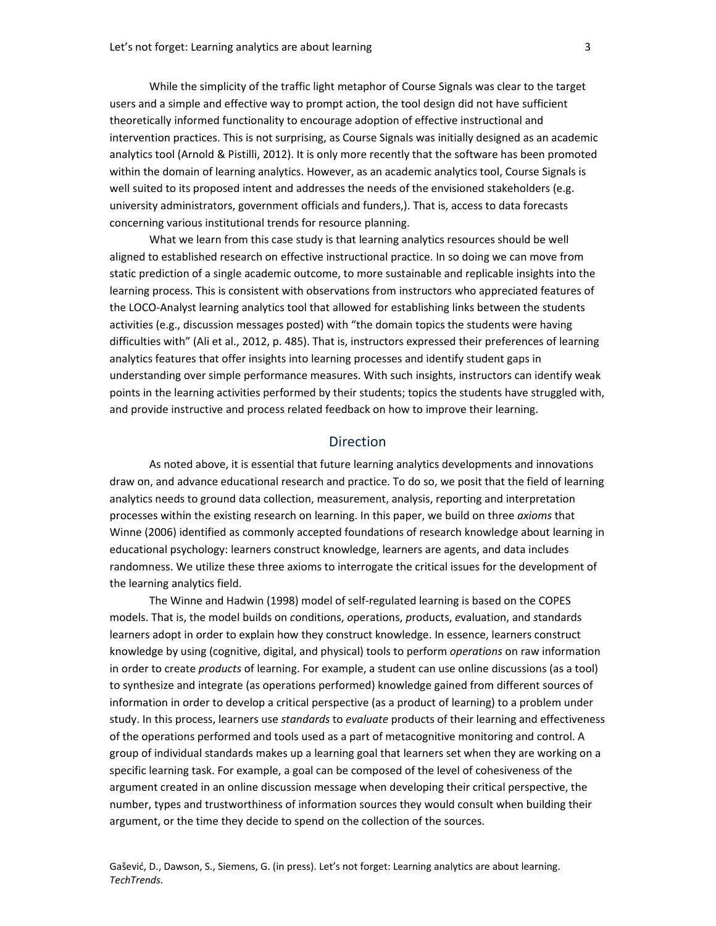While the simplicity of the traffic light metaphor of Course Signals was clear to the target users and a simple and effective way to prompt action, the tool design did not have sufficient theoretically informed functionality to encourage adoption of effective instructional and intervention practices. This is not surprising, as Course Signals was initially designed as an academic analytics tool (Arnold & Pistilli, 2012). It is only more recently that the software has been promoted within the domain of learning analytics. However, as an academic analytics tool, Course Signals is well suited to its proposed intent and addresses the needs of the envisioned stakeholders (e.g. university administrators, government officials and funders,). That is, access to data forecasts concerning various institutional trends for resource planning.

What we learn from this case study is that learning analytics resources should be well aligned to established research on effective instructional practice. In so doing we can move from static prediction of a single academic outcome, to more sustainable and replicable insights into the learning process. This is consistent with observations from instructors who appreciated features of the LOCO‐Analyst learning analytics tool that allowed for establishing links between the students activities (e.g., discussion messages posted) with "the domain topics the students were having difficulties with" (Ali et al., 2012, p. 485). That is, instructors expressed their preferences of learning analytics features that offer insights into learning processes and identify student gaps in understanding over simple performance measures. With such insights, instructors can identify weak points in the learning activities performed by their students; topics the students have struggled with, and provide instructive and process related feedback on how to improve their learning.

### Direction

As noted above, it is essential that future learning analytics developments and innovations draw on, and advance educational research and practice. To do so, we posit that the field of learning analytics needs to ground data collection, measurement, analysis, reporting and interpretation processes within the existing research on learning. In this paper, we build on three *axioms* that Winne (2006) identified as commonly accepted foundations of research knowledge about learning in educational psychology: learners construct knowledge, learners are agents, and data includes randomness. We utilize these three axioms to interrogate the critical issues for the development of the learning analytics field.

The Winne and Hadwin (1998) model of self‐regulated learning is based on the COPES models. That is, the model builds on *c*onditions, *o*perations, *p*roducts, *e*valuation, and *s*tandards learners adopt in order to explain how they construct knowledge. In essence, learners construct knowledge by using (cognitive, digital, and physical) tools to perform *operations* on raw information in order to create *products* of learning. For example, a student can use online discussions (as a tool) to synthesize and integrate (as operations performed) knowledge gained from different sources of information in order to develop a critical perspective (as a product of learning) to a problem under study. In this process, learners use *standards* to *evaluate* products of their learning and effectiveness of the operations performed and tools used as a part of metacognitive monitoring and control. A group of individual standards makes up a learning goal that learners set when they are working on a specific learning task. For example, a goal can be composed of the level of cohesiveness of the argument created in an online discussion message when developing their critical perspective, the number, types and trustworthiness of information sources they would consult when building their argument, or the time they decide to spend on the collection of the sources.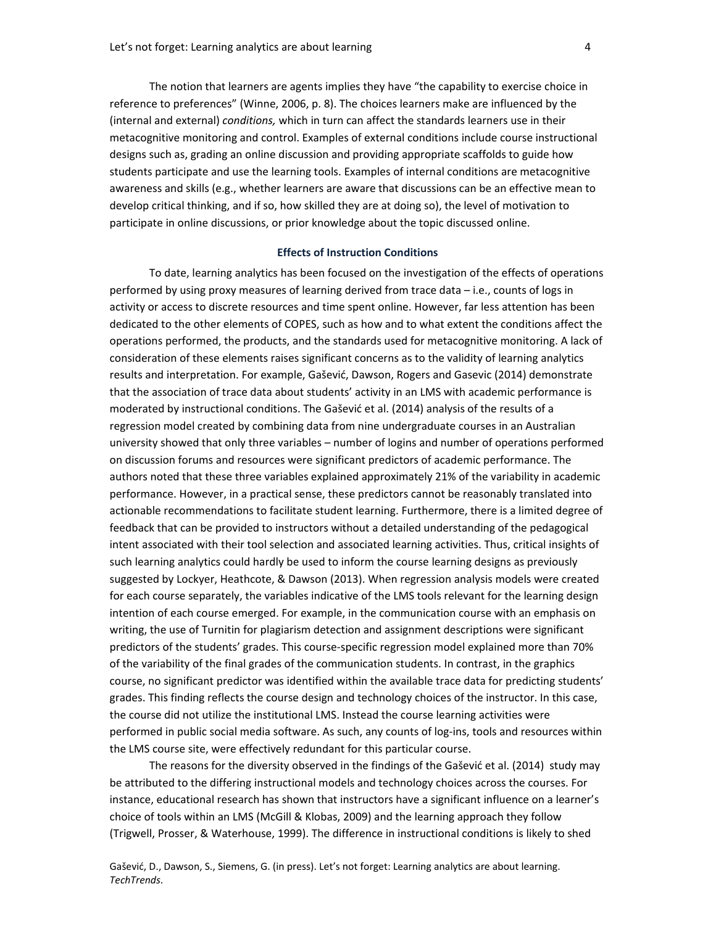The notion that learners are agents implies they have "the capability to exercise choice in reference to preferences" (Winne, 2006, p. 8). The choices learners make are influenced by the (internal and external) *conditions,* which in turn can affect the standards learners use in their metacognitive monitoring and control. Examples of external conditions include course instructional designs such as, grading an online discussion and providing appropriate scaffolds to guide how students participate and use the learning tools. Examples of internal conditions are metacognitive awareness and skills (e.g., whether learners are aware that discussions can be an effective mean to develop critical thinking, and if so, how skilled they are at doing so), the level of motivation to participate in online discussions, or prior knowledge about the topic discussed online.

#### **Effects of Instruction Conditions**

To date, learning analytics has been focused on the investigation of the effects of operations performed by using proxy measures of learning derived from trace data – i.e., counts of logs in activity or access to discrete resources and time spent online. However, far less attention has been dedicated to the other elements of COPES, such as how and to what extent the conditions affect the operations performed, the products, and the standards used for metacognitive monitoring. A lack of consideration of these elements raises significant concerns as to the validity of learning analytics results and interpretation. For example, Gašević, Dawson, Rogers and Gasevic (2014) demonstrate that the association of trace data about students' activity in an LMS with academic performance is moderated by instructional conditions. The Gašević et al. (2014) analysis of the results of a regression model created by combining data from nine undergraduate courses in an Australian university showed that only three variables – number of logins and number of operations performed on discussion forums and resources were significant predictors of academic performance. The authors noted that these three variables explained approximately 21% of the variability in academic performance. However, in a practical sense, these predictors cannot be reasonably translated into actionable recommendations to facilitate student learning. Furthermore, there is a limited degree of feedback that can be provided to instructors without a detailed understanding of the pedagogical intent associated with their tool selection and associated learning activities. Thus, critical insights of such learning analytics could hardly be used to inform the course learning designs as previously suggested by Lockyer, Heathcote, & Dawson (2013). When regression analysis models were created for each course separately, the variables indicative of the LMS tools relevant for the learning design intention of each course emerged. For example, in the communication course with an emphasis on writing, the use of Turnitin for plagiarism detection and assignment descriptions were significant predictors of the students' grades. This course‐specific regression model explained more than 70% of the variability of the final grades of the communication students. In contrast, in the graphics course, no significant predictor was identified within the available trace data for predicting students' grades. This finding reflects the course design and technology choices of the instructor. In this case, the course did not utilize the institutional LMS. Instead the course learning activities were performed in public social media software. As such, any counts of log-ins, tools and resources within the LMS course site, were effectively redundant for this particular course.

The reasons for the diversity observed in the findings of the Gašević et al. (2014) study may be attributed to the differing instructional models and technology choices across the courses. For instance, educational research has shown that instructors have a significant influence on a learner's choice of tools within an LMS (McGill & Klobas, 2009) and the learning approach they follow (Trigwell, Prosser, & Waterhouse, 1999). The difference in instructional conditions is likely to shed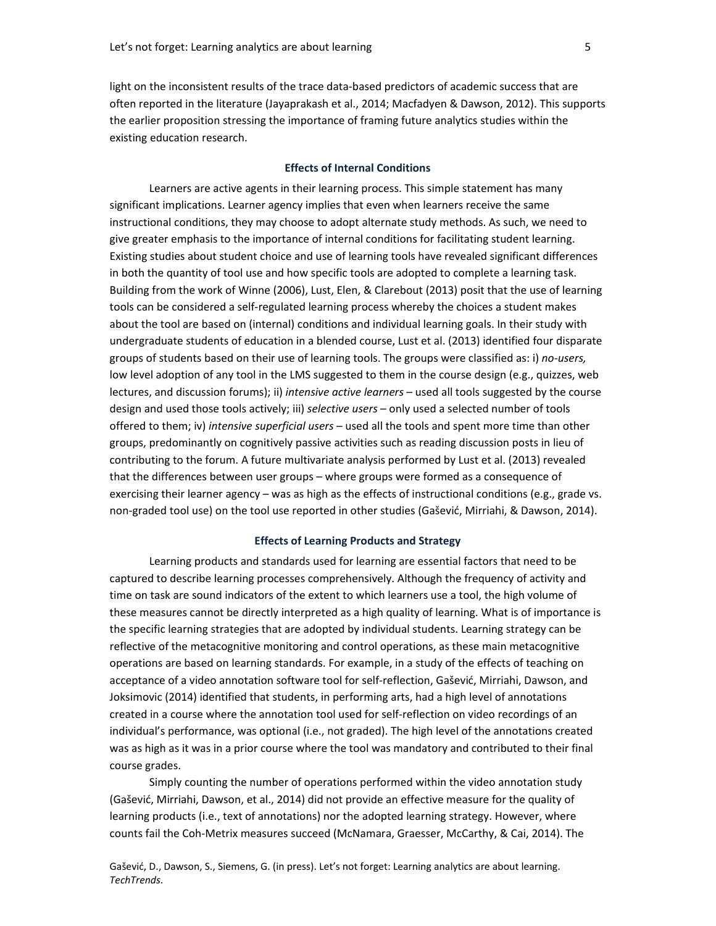light on the inconsistent results of the trace data‐based predictors of academic success that are often reported in the literature (Jayaprakash et al., 2014; Macfadyen & Dawson, 2012). This supports the earlier proposition stressing the importance of framing future analytics studies within the existing education research.

### **Effects of Internal Conditions**

Learners are active agents in their learning process. This simple statement has many significant implications. Learner agency implies that even when learners receive the same instructional conditions, they may choose to adopt alternate study methods. As such, we need to give greater emphasis to the importance of internal conditions for facilitating student learning. Existing studies about student choice and use of learning tools have revealed significant differences in both the quantity of tool use and how specific tools are adopted to complete a learning task. Building from the work of Winne (2006), Lust, Elen, & Clarebout (2013) posit that the use of learning tools can be considered a self‐regulated learning process whereby the choices a student makes about the tool are based on (internal) conditions and individual learning goals. In their study with undergraduate students of education in a blended course, Lust et al. (2013) identified four disparate groups of students based on their use of learning tools. The groups were classified as: i) *no‐users,* low level adoption of any tool in the LMS suggested to them in the course design (e.g., quizzes, web lectures, and discussion forums); ii) *intensive active learners* – used all tools suggested by the course design and used those tools actively; iii) *selective users* – only used a selected number of tools offered to them; iv) *intensive superficial users* – used all the tools and spent more time than other groups, predominantly on cognitively passive activities such as reading discussion posts in lieu of contributing to the forum. A future multivariate analysis performed by Lust et al. (2013) revealed that the differences between user groups – where groups were formed as a consequence of exercising their learner agency – was as high as the effects of instructional conditions (e.g., grade vs. non‐graded tool use) on the tool use reported in other studies (Gašević, Mirriahi, & Dawson, 2014).

#### **Effects of Learning Products and Strategy**

Learning products and standards used for learning are essential factors that need to be captured to describe learning processes comprehensively. Although the frequency of activity and time on task are sound indicators of the extent to which learners use a tool, the high volume of these measures cannot be directly interpreted as a high quality of learning. What is of importance is the specific learning strategies that are adopted by individual students. Learning strategy can be reflective of the metacognitive monitoring and control operations, as these main metacognitive operations are based on learning standards. For example, in a study of the effects of teaching on acceptance of a video annotation software tool for self‐reflection, Gašević, Mirriahi, Dawson, and Joksimovic (2014) identified that students, in performing arts, had a high level of annotations created in a course where the annotation tool used for self‐reflection on video recordings of an individual's performance, was optional (i.e., not graded). The high level of the annotations created was as high as it was in a prior course where the tool was mandatory and contributed to their final course grades.

Simply counting the number of operations performed within the video annotation study (Gašević, Mirriahi, Dawson, et al., 2014) did not provide an effective measure for the quality of learning products (i.e., text of annotations) nor the adopted learning strategy. However, where counts fail the Coh‐Metrix measures succeed (McNamara, Graesser, McCarthy, & Cai, 2014). The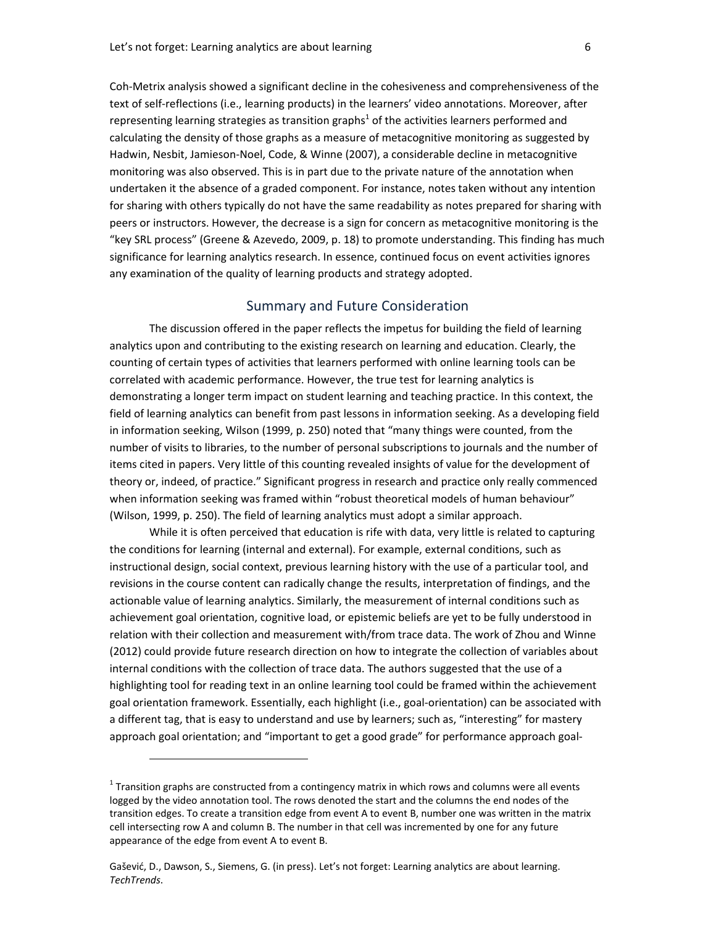Coh‐Metrix analysis showed a significant decline in the cohesiveness and comprehensiveness of the text of self‐reflections (i.e., learning products) in the learners' video annotations. Moreover, after representing learning strategies as transition graphs $<sup>1</sup>$  of the activities learners performed and</sup> calculating the density of those graphs as a measure of metacognitive monitoring as suggested by Hadwin, Nesbit, Jamieson‐Noel, Code, & Winne (2007), a considerable decline in metacognitive monitoring was also observed. This is in part due to the private nature of the annotation when undertaken it the absence of a graded component. For instance, notes taken without any intention for sharing with others typically do not have the same readability as notes prepared for sharing with peers or instructors. However, the decrease is a sign for concern as metacognitive monitoring is the "key SRL process" (Greene & Azevedo, 2009, p. 18) to promote understanding. This finding has much significance for learning analytics research. In essence, continued focus on event activities ignores any examination of the quality of learning products and strategy adopted.

## Summary and Future Consideration

The discussion offered in the paper reflects the impetus for building the field of learning analytics upon and contributing to the existing research on learning and education. Clearly, the counting of certain types of activities that learners performed with online learning tools can be correlated with academic performance. However, the true test for learning analytics is demonstrating a longer term impact on student learning and teaching practice. In this context, the field of learning analytics can benefit from past lessons in information seeking. As a developing field in information seeking, Wilson (1999, p. 250) noted that "many things were counted, from the number of visits to libraries, to the number of personal subscriptions to journals and the number of items cited in papers. Very little of this counting revealed insights of value for the development of theory or, indeed, of practice." Significant progress in research and practice only really commenced when information seeking was framed within "robust theoretical models of human behaviour" (Wilson, 1999, p. 250). The field of learning analytics must adopt a similar approach.

While it is often perceived that education is rife with data, very little is related to capturing the conditions for learning (internal and external). For example, external conditions, such as instructional design, social context, previous learning history with the use of a particular tool, and revisions in the course content can radically change the results, interpretation of findings, and the actionable value of learning analytics. Similarly, the measurement of internal conditions such as achievement goal orientation, cognitive load, or epistemic beliefs are yet to be fully understood in relation with their collection and measurement with/from trace data. The work of Zhou and Winne (2012) could provide future research direction on how to integrate the collection of variables about internal conditions with the collection of trace data. The authors suggested that the use of a highlighting tool for reading text in an online learning tool could be framed within the achievement goal orientation framework. Essentially, each highlight (i.e., goal‐orientation) can be associated with a different tag, that is easy to understand and use by learners; such as, "interesting" for mastery approach goal orientation; and "important to get a good grade" for performance approach goal‐

 $1$  Transition graphs are constructed from a contingency matrix in which rows and columns were all events logged by the video annotation tool. The rows denoted the start and the columns the end nodes of the transition edges. To create a transition edge from event A to event B, number one was written in the matrix cell intersecting row A and column B. The number in that cell was incremented by one for any future appearance of the edge from event A to event B.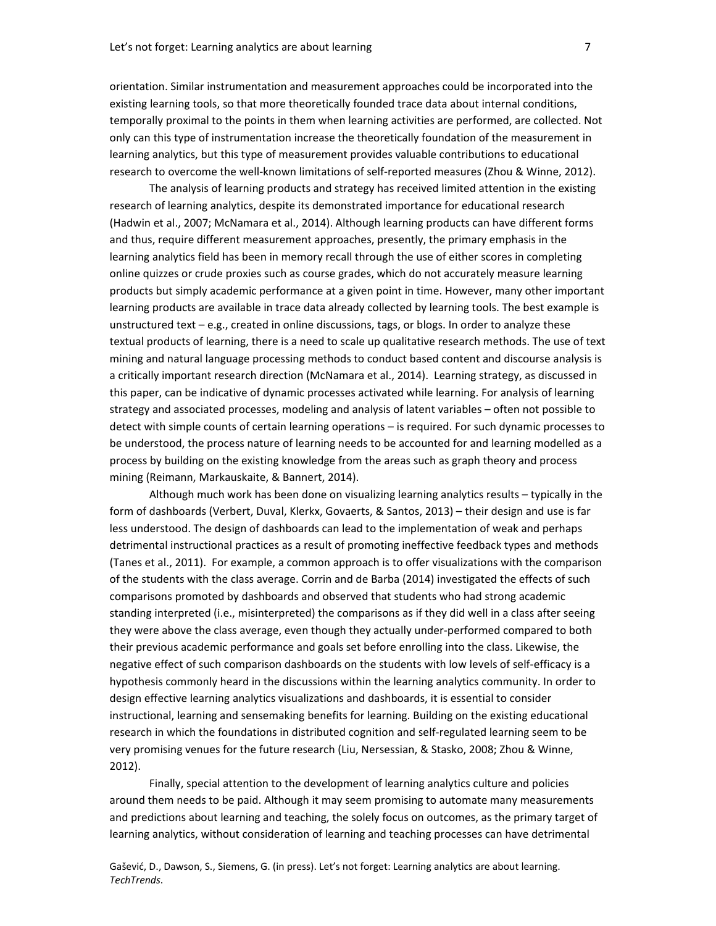orientation. Similar instrumentation and measurement approaches could be incorporated into the existing learning tools, so that more theoretically founded trace data about internal conditions, temporally proximal to the points in them when learning activities are performed, are collected. Not only can this type of instrumentation increase the theoretically foundation of the measurement in learning analytics, but this type of measurement provides valuable contributions to educational research to overcome the well‐known limitations of self‐reported measures (Zhou & Winne, 2012).

The analysis of learning products and strategy has received limited attention in the existing research of learning analytics, despite its demonstrated importance for educational research (Hadwin et al., 2007; McNamara et al., 2014). Although learning products can have different forms and thus, require different measurement approaches, presently, the primary emphasis in the learning analytics field has been in memory recall through the use of either scores in completing online quizzes or crude proxies such as course grades, which do not accurately measure learning products but simply academic performance at a given point in time. However, many other important learning products are available in trace data already collected by learning tools. The best example is unstructured text  $-e.g.,$  created in online discussions, tags, or blogs. In order to analyze these textual products of learning, there is a need to scale up qualitative research methods. The use of text mining and natural language processing methods to conduct based content and discourse analysis is a critically important research direction (McNamara et al., 2014). Learning strategy, as discussed in this paper, can be indicative of dynamic processes activated while learning. For analysis of learning strategy and associated processes, modeling and analysis of latent variables – often not possible to detect with simple counts of certain learning operations – is required. For such dynamic processes to be understood, the process nature of learning needs to be accounted for and learning modelled as a process by building on the existing knowledge from the areas such as graph theory and process mining (Reimann, Markauskaite, & Bannert, 2014).

Although much work has been done on visualizing learning analytics results – typically in the form of dashboards (Verbert, Duval, Klerkx, Govaerts, & Santos, 2013) – their design and use is far less understood. The design of dashboards can lead to the implementation of weak and perhaps detrimental instructional practices as a result of promoting ineffective feedback types and methods (Tanes et al., 2011). For example, a common approach is to offer visualizations with the comparison of the students with the class average. Corrin and de Barba (2014) investigated the effects of such comparisons promoted by dashboards and observed that students who had strong academic standing interpreted (i.e., misinterpreted) the comparisons as if they did well in a class after seeing they were above the class average, even though they actually under‐performed compared to both their previous academic performance and goals set before enrolling into the class. Likewise, the negative effect of such comparison dashboards on the students with low levels of self‐efficacy is a hypothesis commonly heard in the discussions within the learning analytics community. In order to design effective learning analytics visualizations and dashboards, it is essential to consider instructional, learning and sensemaking benefits for learning. Building on the existing educational research in which the foundations in distributed cognition and self-regulated learning seem to be very promising venues for the future research (Liu, Nersessian, & Stasko, 2008; Zhou & Winne, 2012).

Finally, special attention to the development of learning analytics culture and policies around them needs to be paid. Although it may seem promising to automate many measurements and predictions about learning and teaching, the solely focus on outcomes, as the primary target of learning analytics, without consideration of learning and teaching processes can have detrimental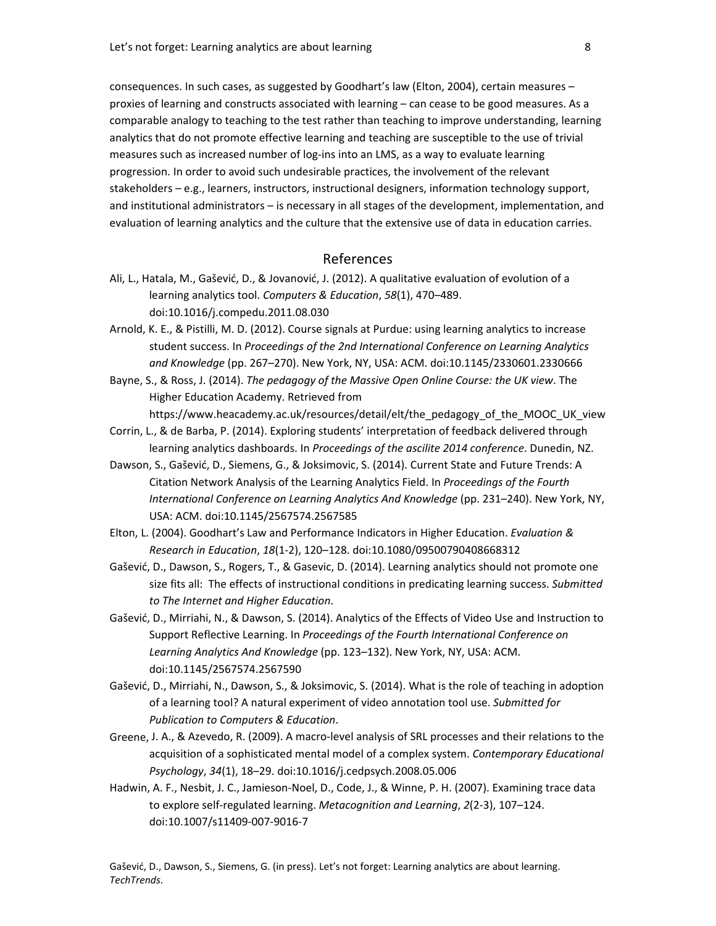consequences. In such cases, as suggested by Goodhart's law (Elton, 2004), certain measures – proxies of learning and constructs associated with learning – can cease to be good measures. As a comparable analogy to teaching to the test rather than teaching to improve understanding, learning analytics that do not promote effective learning and teaching are susceptible to the use of trivial measures such as increased number of log-ins into an LMS, as a way to evaluate learning progression. In order to avoid such undesirable practices, the involvement of the relevant stakeholders – e.g., learners, instructors, instructional designers, information technology support, and institutional administrators – is necessary in all stages of the development, implementation, and evaluation of learning analytics and the culture that the extensive use of data in education carries.

## References

- Ali, L., Hatala, M., Gašević, D., & Jovanović, J. (2012). A qualitative evaluation of evolution of a learning analytics tool. *Computers & Education*, *58*(1), 470–489. doi:10.1016/j.compedu.2011.08.030
- Arnold, K. E., & Pistilli, M. D. (2012). Course signals at Purdue: using learning analytics to increase student success. In *Proceedings of the 2nd International Conference on Learning Analytics and Knowledge* (pp. 267–270). New York, NY, USA: ACM. doi:10.1145/2330601.2330666
- Bayne, S., & Ross, J. (2014). *The pedagogy of the Massive Open Online Course: the UK view*. The Higher Education Academy. Retrieved from

https://www.heacademy.ac.uk/resources/detail/elt/the\_pedagogy\_of\_the\_MOOC\_UK\_view

- Corrin, L., & de Barba, P. (2014). Exploring students' interpretation of feedback delivered through learning analytics dashboards. In *Proceedings of the ascilite 2014 conference*. Dunedin, NZ.
- Dawson, S., Gašević, D., Siemens, G., & Joksimovic, S. (2014). Current State and Future Trends: A Citation Network Analysis of the Learning Analytics Field. In *Proceedings of the Fourth International Conference on Learning Analytics And Knowledge* (pp. 231–240). New York, NY, USA: ACM. doi:10.1145/2567574.2567585
- Elton, L. (2004). Goodhart's Law and Performance Indicators in Higher Education. *Evaluation & Research in Education*, *18*(1‐2), 120–128. doi:10.1080/09500790408668312
- Gašević, D., Dawson, S., Rogers, T., & Gasevic, D. (2014). Learning analytics should not promote one size fits all: The effects of instructional conditions in predicating learning success. *Submitted to The Internet and Higher Education*.
- Gašević, D., Mirriahi, N., & Dawson, S. (2014). Analytics of the Effects of Video Use and Instruction to Support Reflective Learning. In *Proceedings of the Fourth International Conference on Learning Analytics And Knowledge* (pp. 123–132). New York, NY, USA: ACM. doi:10.1145/2567574.2567590
- Gašević, D., Mirriahi, N., Dawson, S., & Joksimovic, S. (2014). What is the role of teaching in adoption of a learning tool? A natural experiment of video annotation tool use. *Submitted for Publication to Computers & Education*.
- Greene, J. A., & Azevedo, R. (2009). A macro‐level analysis of SRL processes and their relations to the acquisition of a sophisticated mental model of a complex system. *Contemporary Educational Psychology*, *34*(1), 18–29. doi:10.1016/j.cedpsych.2008.05.006
- Hadwin, A. F., Nesbit, J. C., Jamieson‐Noel, D., Code, J., & Winne, P. H. (2007). Examining trace data to explore self‐regulated learning. *Metacognition and Learning*, *2*(2‐3), 107–124. doi:10.1007/s11409‐007‐9016‐7

Gašević, D., Dawson, S., Siemens, G. (in press). Let's not forget: Learning analytics are about learning. *TechTrends*.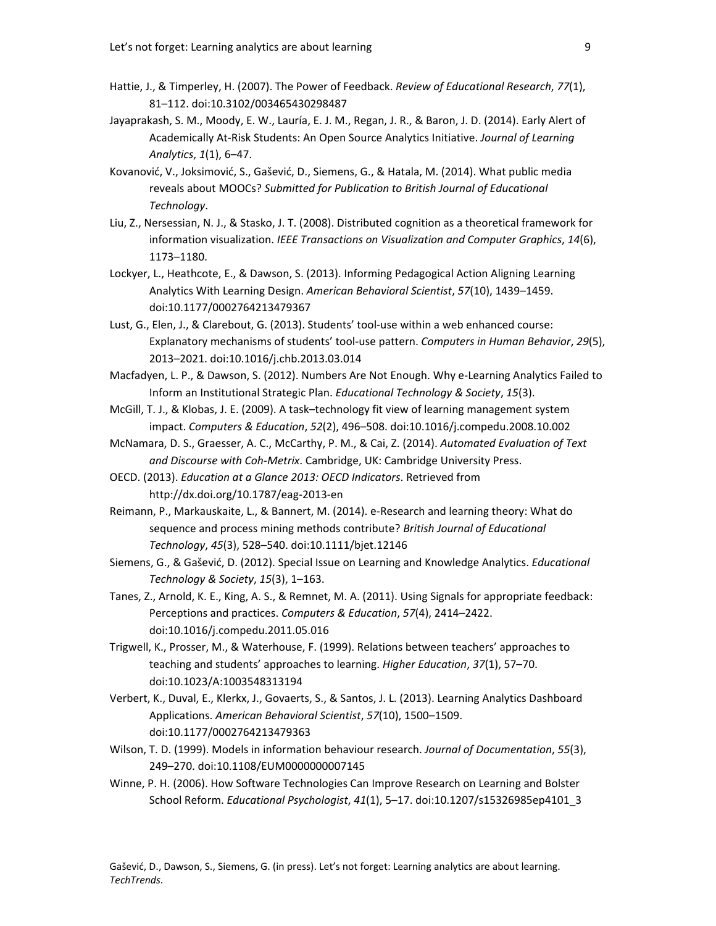- Hattie, J., & Timperley, H. (2007). The Power of Feedback. *Review of Educational Research*, *77*(1), 81–112. doi:10.3102/003465430298487
- Jayaprakash, S. M., Moody, E. W., Lauría, E. J. M., Regan, J. R., & Baron, J. D. (2014). Early Alert of Academically At‐Risk Students: An Open Source Analytics Initiative. *Journal of Learning Analytics*, *1*(1), 6–47.
- Kovanović, V., Joksimović, S., Gašević, D., Siemens, G., & Hatala, M. (2014). What public media reveals about MOOCs? *Submitted for Publication to British Journal of Educational Technology*.
- Liu, Z., Nersessian, N. J., & Stasko, J. T. (2008). Distributed cognition as a theoretical framework for information visualization. *IEEE Transactions on Visualization and Computer Graphics*, *14*(6), 1173–1180.
- Lockyer, L., Heathcote, E., & Dawson, S. (2013). Informing Pedagogical Action Aligning Learning Analytics With Learning Design. *American Behavioral Scientist*, *57*(10), 1439–1459. doi:10.1177/0002764213479367
- Lust, G., Elen, J., & Clarebout, G. (2013). Students' tool‐use within a web enhanced course: Explanatory mechanisms of students' tool‐use pattern. *Computers in Human Behavior*, *29*(5), 2013–2021. doi:10.1016/j.chb.2013.03.014
- Macfadyen, L. P., & Dawson, S. (2012). Numbers Are Not Enough. Why e‐Learning Analytics Failed to Inform an Institutional Strategic Plan. *Educational Technology & Society*, *15*(3).
- McGill, T. J., & Klobas, J. E. (2009). A task–technology fit view of learning management system impact. *Computers & Education*, *52*(2), 496–508. doi:10.1016/j.compedu.2008.10.002
- McNamara, D. S., Graesser, A. C., McCarthy, P. M., & Cai, Z. (2014). *Automated Evaluation of Text and Discourse with Coh‐Metrix*. Cambridge, UK: Cambridge University Press.
- OECD. (2013). *Education at a Glance 2013: OECD Indicators*. Retrieved from http://dx.doi.org/10.1787/eag‐2013‐en
- Reimann, P., Markauskaite, L., & Bannert, M. (2014). e‐Research and learning theory: What do sequence and process mining methods contribute? *British Journal of Educational Technology*, *45*(3), 528–540. doi:10.1111/bjet.12146
- Siemens, G., & Gašević, D. (2012). Special Issue on Learning and Knowledge Analytics. *Educational Technology & Society*, *15*(3), 1–163.
- Tanes, Z., Arnold, K. E., King, A. S., & Remnet, M. A. (2011). Using Signals for appropriate feedback: Perceptions and practices. *Computers & Education*, *57*(4), 2414–2422. doi:10.1016/j.compedu.2011.05.016
- Trigwell, K., Prosser, M., & Waterhouse, F. (1999). Relations between teachers' approaches to teaching and students' approaches to learning. *Higher Education*, *37*(1), 57–70. doi:10.1023/A:1003548313194
- Verbert, K., Duval, E., Klerkx, J., Govaerts, S., & Santos, J. L. (2013). Learning Analytics Dashboard Applications. *American Behavioral Scientist*, *57*(10), 1500–1509. doi:10.1177/0002764213479363
- Wilson, T. D. (1999). Models in information behaviour research. *Journal of Documentation*, *55*(3), 249–270. doi:10.1108/EUM0000000007145
- Winne, P. H. (2006). How Software Technologies Can Improve Research on Learning and Bolster School Reform. *Educational Psychologist*, *41*(1), 5–17. doi:10.1207/s15326985ep4101\_3